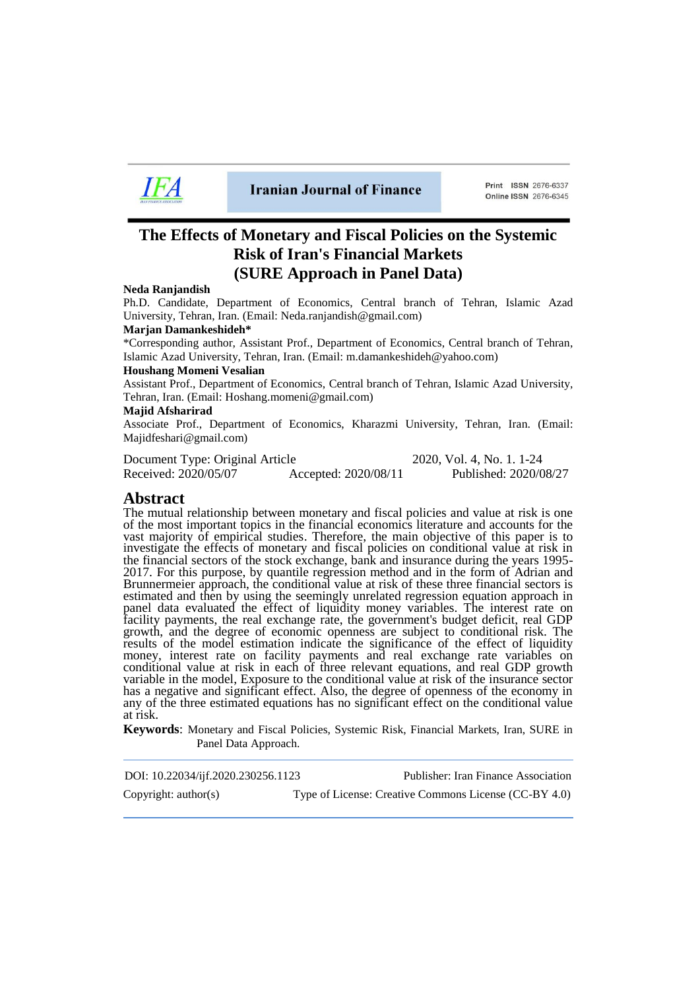

**Iranian Journal of Finance** 

Print ISSN 2676-6337 Online ISSN 2676-6345

# **The Effects of Monetary and Fiscal Policies on the Systemic Risk of Iran's Financial Markets (SURE Approach in Panel Data)**

#### **Neda Ranjandish**

Ph.D. Candidate, Department of Economics, Central branch of Tehran, Islamic Azad University, Tehran, Iran. (Email: Neda.ranjandish@gmail.com)

#### **Marjan Damankeshideh\***

\*Corresponding author, Assistant Prof., Department of Economics, Central branch of Tehran, Islamic Azad University, Tehran, Iran. (Email: m.damankeshideh@yahoo.com)

#### **Houshang Momeni Vesalian**

Assistant Prof., Department of Economics, Central branch of Tehran, Islamic Azad University, Tehran, Iran. (Email: Hoshang.momeni@gmail.com)

#### **Majid Afsharirad**

Associate Prof., Department of Economics, Kharazmi University, Tehran, Iran. (Email: Majidfeshari@gmail.com)

Document Type: Original Article 2020, Vol. 4, No. 1. 1-24 Received: 2020/05/07 Accepted: 2020/08/11 Published: 2020/08/27

## **Abstract**

The mutual relationship between monetary and fiscal policies and value at risk is one of the most important topics in the financial economics literature and accounts for the vast majority of empirical studies. Therefore, the main objective of this paper is to investigate the effects of monetary and fiscal policies on conditional value at risk in the financial sectors of the stock exchange, bank and insurance during the years 1995- 2017. For this purpose, by quantile regression method and in the form of Adrian and Brunnermeier approach, the conditional value at risk of these three financial sectors is estimated and then by using the seemingly unrelated regression equation approach in panel data evaluated the effect of liquidity money variables. The interest rate on facility payments, the real exchange rate, the government's budget deficit, real GDP growth, and the degree of economic openness are subject to conditional risk. The results of the model estimation indicate the significance of the effect of liquidity money, interest rate on facility payments and real exchange rate variables on conditional value at risk in each of three relevant equations, and real GDP growth variable in the model, Exposure to the conditional value at risk of the insurance sector has a negative and significant effect. Also, the degree of openness of the economy in any of the three estimated equations has no significant effect on the conditional value at risk.

**Keywords**: Monetary and Fiscal Policies, Systemic Risk, Financial Markets, Iran, SURE in Panel Data Approach.

| DOI: 10.22034/ijf.2020.230256.1123 | Publisher: Iran Finance Association                   |
|------------------------------------|-------------------------------------------------------|
| Copyright: $\text{author}(s)$      | Type of License: Creative Commons License (CC-BY 4.0) |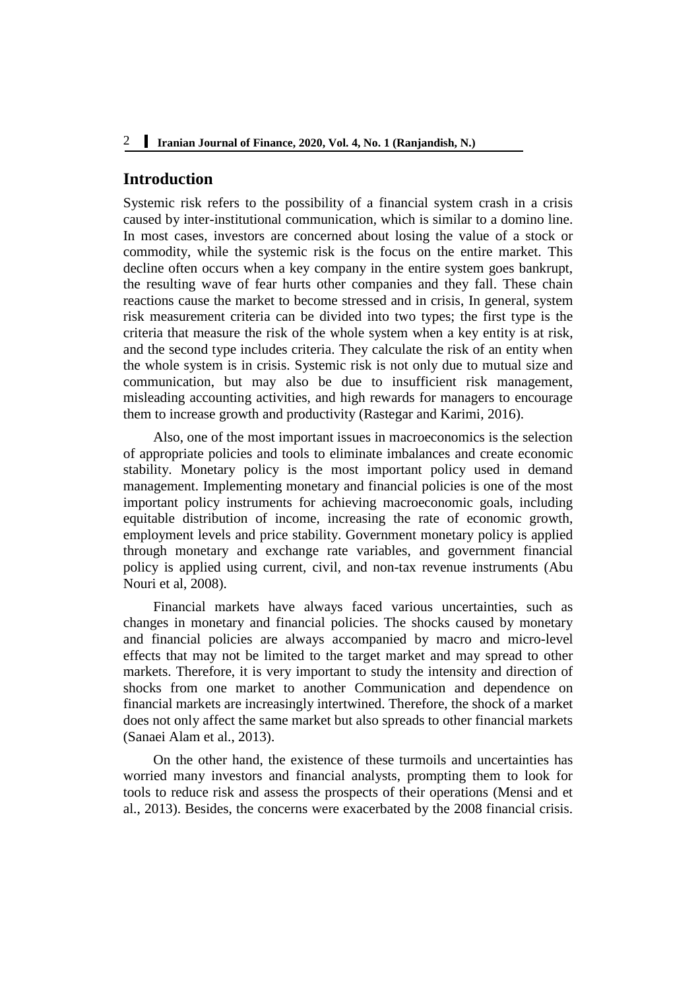# **Introduction**

Systemic risk refers to the possibility of a financial system crash in a crisis caused by inter-institutional communication, which is similar to a domino line. In most cases, investors are concerned about losing the value of a stock or commodity, while the systemic risk is the focus on the entire market. This decline often occurs when a key company in the entire system goes bankrupt, the resulting wave of fear hurts other companies and they fall. These chain reactions cause the market to become stressed and in crisis, In general, system risk measurement criteria can be divided into two types; the first type is the criteria that measure the risk of the whole system when a key entity is at risk, and the second type includes criteria. They calculate the risk of an entity when the whole system is in crisis. Systemic risk is not only due to mutual size and communication, but may also be due to insufficient risk management, misleading accounting activities, and high rewards for managers to encourage them to increase growth and productivity (Rastegar and Karimi, 2016).

Also, one of the most important issues in macroeconomics is the selection of appropriate policies and tools to eliminate imbalances and create economic stability. Monetary policy is the most important policy used in demand management. Implementing monetary and financial policies is one of the most important policy instruments for achieving macroeconomic goals, including equitable distribution of income, increasing the rate of economic growth, employment levels and price stability. Government monetary policy is applied through monetary and exchange rate variables, and government financial policy is applied using current, civil, and non-tax revenue instruments (Abu Nouri et al, 2008).

Financial markets have always faced various uncertainties, such as changes in monetary and financial policies. The shocks caused by monetary and financial policies are always accompanied by macro and micro-level effects that may not be limited to the target market and may spread to other markets. Therefore, it is very important to study the intensity and direction of shocks from one market to another Communication and dependence on financial markets are increasingly intertwined. Therefore, the shock of a market does not only affect the same market but also spreads to other financial markets (Sanaei Alam et al., 2013).

On the other hand, the existence of these turmoils and uncertainties has worried many investors and financial analysts, prompting them to look for tools to reduce risk and assess the prospects of their operations (Mensi and et al., 2013). Besides, the concerns were exacerbated by the 2008 financial crisis.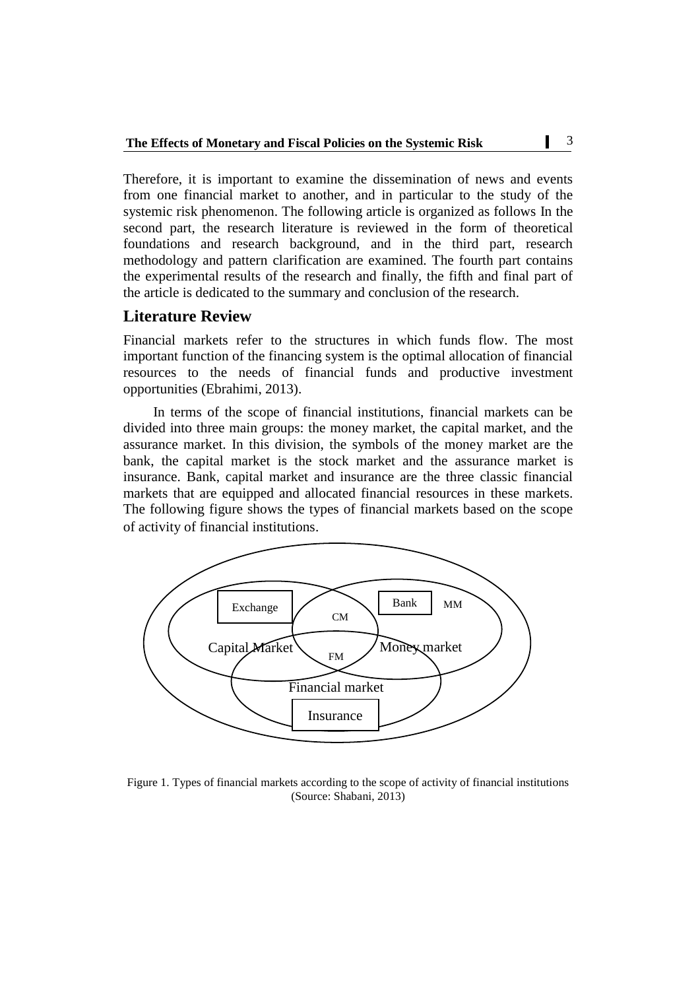Therefore, it is important to examine the dissemination of news and events from one financial market to another, and in particular to the study of the systemic risk phenomenon. The following article is organized as follows In the second part, the research literature is reviewed in the form of theoretical foundations and research background, and in the third part, research methodology and pattern clarification are examined. The fourth part contains the experimental results of the research and finally, the fifth and final part of the article is dedicated to the summary and conclusion of the research.

# **Literature Review**

Financial markets refer to the structures in which funds flow. The most important function of the financing system is the optimal allocation of financial resources to the needs of financial funds and productive investment opportunities (Ebrahimi, 2013).

In terms of the scope of financial institutions, financial markets can be divided into three main groups: the money market, the capital market, and the assurance market. In this division, the symbols of the money market are the bank, the capital market is the stock market and the assurance market is insurance. Bank, capital market and insurance are the three classic financial markets that are equipped and allocated financial resources in these markets. The following figure shows the types of financial markets based on the scope of activity of financial institutions.



Figure 1. Types of financial markets according to the scope of activity of financial institutions (Source: Shabani, 2013)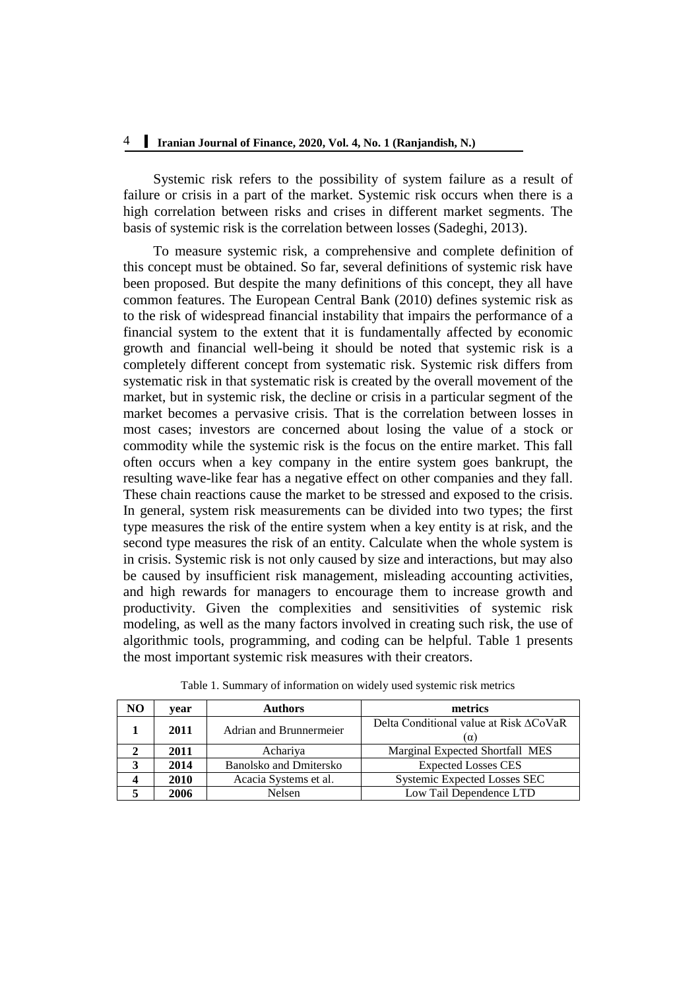Systemic risk refers to the possibility of system failure as a result of failure or crisis in a part of the market. Systemic risk occurs when there is a high correlation between risks and crises in different market segments. The basis of systemic risk is the correlation between losses (Sadeghi, 2013).

To measure systemic risk, a comprehensive and complete definition of this concept must be obtained. So far, several definitions of systemic risk have been proposed. But despite the many definitions of this concept, they all have common features. The European Central Bank (2010) defines systemic risk as to the risk of widespread financial instability that impairs the performance of a financial system to the extent that it is fundamentally affected by economic growth and financial well-being it should be noted that systemic risk is a completely different concept from systematic risk. Systemic risk differs from systematic risk in that systematic risk is created by the overall movement of the market, but in systemic risk, the decline or crisis in a particular segment of the market becomes a pervasive crisis. That is the correlation between losses in most cases; investors are concerned about losing the value of a stock or commodity while the systemic risk is the focus on the entire market. This fall often occurs when a key company in the entire system goes bankrupt, the resulting wave-like fear has a negative effect on other companies and they fall. These chain reactions cause the market to be stressed and exposed to the crisis. In general, system risk measurements can be divided into two types; the first type measures the risk of the entire system when a key entity is at risk, and the second type measures the risk of an entity. Calculate when the whole system is in crisis. Systemic risk is not only caused by size and interactions, but may also be caused by insufficient risk management, misleading accounting activities, and high rewards for managers to encourage them to increase growth and productivity. Given the complexities and sensitivities of systemic risk modeling, as well as the many factors involved in creating such risk, the use of algorithmic tools, programming, and coding can be helpful. Table 1 presents the most important systemic risk measures with their creators.

| NO | vear                                  | <b>Authors</b>        | metrics                                       |  |  |
|----|---------------------------------------|-----------------------|-----------------------------------------------|--|--|
|    | Adrian and Brunnermeier<br>2011       |                       | Delta Conditional value at Risk ACoVaR<br>(α) |  |  |
|    | 2011<br>Achariya                      |                       | Marginal Expected Shortfall MES               |  |  |
|    | 2014<br><b>Banolsko and Dmitersko</b> |                       | <b>Expected Losses CES</b>                    |  |  |
|    | 2010                                  | Acacia Systems et al. | <b>Systemic Expected Losses SEC</b>           |  |  |
|    | 2006                                  | Nelsen                | Low Tail Dependence LTD                       |  |  |

Table 1. Summary of information on widely used systemic risk metrics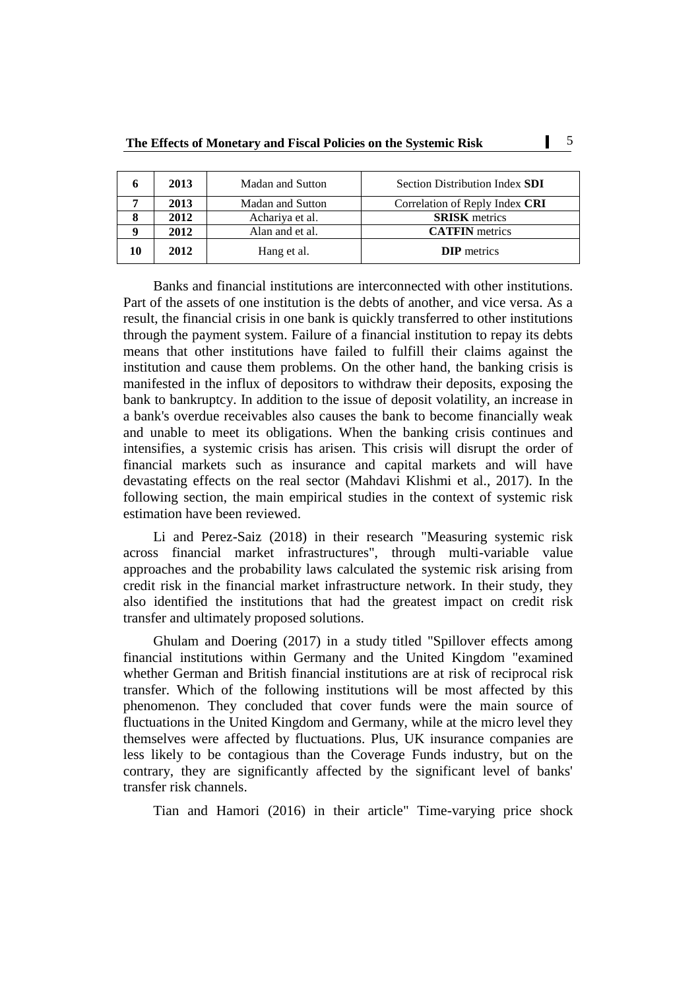| n | 2013 | <b>Madan and Sutton</b> | Section Distribution Index SDI |
|---|------|-------------------------|--------------------------------|
|   | 2013 | Madan and Sutton        | Correlation of Reply Index CRI |
| Ω | 2012 | Achariya et al.         | <b>SRISK</b> metrics           |
|   | 2012 | Alan and et al.         | <b>CATFIN</b> metrics          |
|   | 2012 | Hang et al.             | <b>DIP</b> metrics             |

Banks and financial institutions are interconnected with other institutions. Part of the assets of one institution is the debts of another, and vice versa. As a result, the financial crisis in one bank is quickly transferred to other institutions through the payment system. Failure of a financial institution to repay its debts means that other institutions have failed to fulfill their claims against the institution and cause them problems. On the other hand, the banking crisis is manifested in the influx of depositors to withdraw their deposits, exposing the bank to bankruptcy. In addition to the issue of deposit volatility, an increase in a bank's overdue receivables also causes the bank to become financially weak and unable to meet its obligations. When the banking crisis continues and intensifies, a systemic crisis has arisen. This crisis will disrupt the order of financial markets such as insurance and capital markets and will have devastating effects on the real sector (Mahdavi Klishmi et al., 2017). In the following section, the main empirical studies in the context of systemic risk estimation have been reviewed.

Li and Perez-Saiz (2018) in their research "Measuring systemic risk across financial market infrastructures", through multi-variable value approaches and the probability laws calculated the systemic risk arising from credit risk in the financial market infrastructure network. In their study, they also identified the institutions that had the greatest impact on credit risk transfer and ultimately proposed solutions.

Ghulam and Doering (2017) in a study titled "Spillover effects among financial institutions within Germany and the United Kingdom "examined whether German and British financial institutions are at risk of reciprocal risk transfer. Which of the following institutions will be most affected by this phenomenon. They concluded that cover funds were the main source of fluctuations in the United Kingdom and Germany, while at the micro level they themselves were affected by fluctuations. Plus, UK insurance companies are less likely to be contagious than the Coverage Funds industry, but on the contrary, they are significantly affected by the significant level of banks' transfer risk channels.

Tian and Hamori (2016) in their article" Time-varying price shock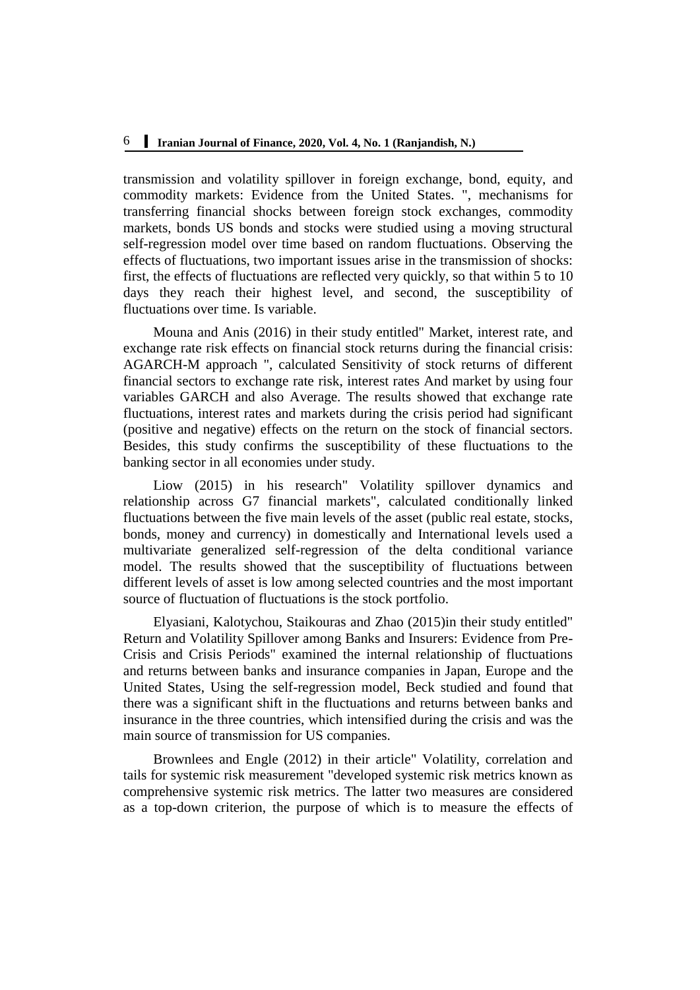transmission and volatility spillover in foreign exchange, bond, equity, and commodity markets: Evidence from the United States. ", mechanisms for transferring financial shocks between foreign stock exchanges, commodity markets, bonds US bonds and stocks were studied using a moving structural self-regression model over time based on random fluctuations. Observing the effects of fluctuations, two important issues arise in the transmission of shocks: first, the effects of fluctuations are reflected very quickly, so that within 5 to 10 days they reach their highest level, and second, the susceptibility of fluctuations over time. Is variable.

Mouna and Anis (2016) in their study entitled" Market, interest rate, and exchange rate risk effects on financial stock returns during the financial crisis: AGARCH-M approach ", calculated Sensitivity of stock returns of different financial sectors to exchange rate risk, interest rates And market by using four variables GARCH and also Average. The results showed that exchange rate fluctuations, interest rates and markets during the crisis period had significant (positive and negative) effects on the return on the stock of financial sectors. Besides, this study confirms the susceptibility of these fluctuations to the banking sector in all economies under study.

Liow (2015) in his research" Volatility spillover dynamics and relationship across G7 financial markets", calculated conditionally linked fluctuations between the five main levels of the asset (public real estate, stocks, bonds, money and currency) in domestically and International levels used a multivariate generalized self-regression of the delta conditional variance model. The results showed that the susceptibility of fluctuations between different levels of asset is low among selected countries and the most important source of fluctuation of fluctuations is the stock portfolio.

Elyasiani, Kalotychou, Staikouras and Zhao (2015)in their study entitled" Return and Volatility Spillover among Banks and Insurers: Evidence from Pre-Crisis and Crisis Periods" examined the internal relationship of fluctuations and returns between banks and insurance companies in Japan, Europe and the United States, Using the self-regression model, Beck studied and found that there was a significant shift in the fluctuations and returns between banks and insurance in the three countries, which intensified during the crisis and was the main source of transmission for US companies.

Brownlees and Engle (2012) in their article" Volatility, correlation and tails for systemic risk measurement "developed systemic risk metrics known as comprehensive systemic risk metrics. The latter two measures are considered as a top-down criterion, the purpose of which is to measure the effects of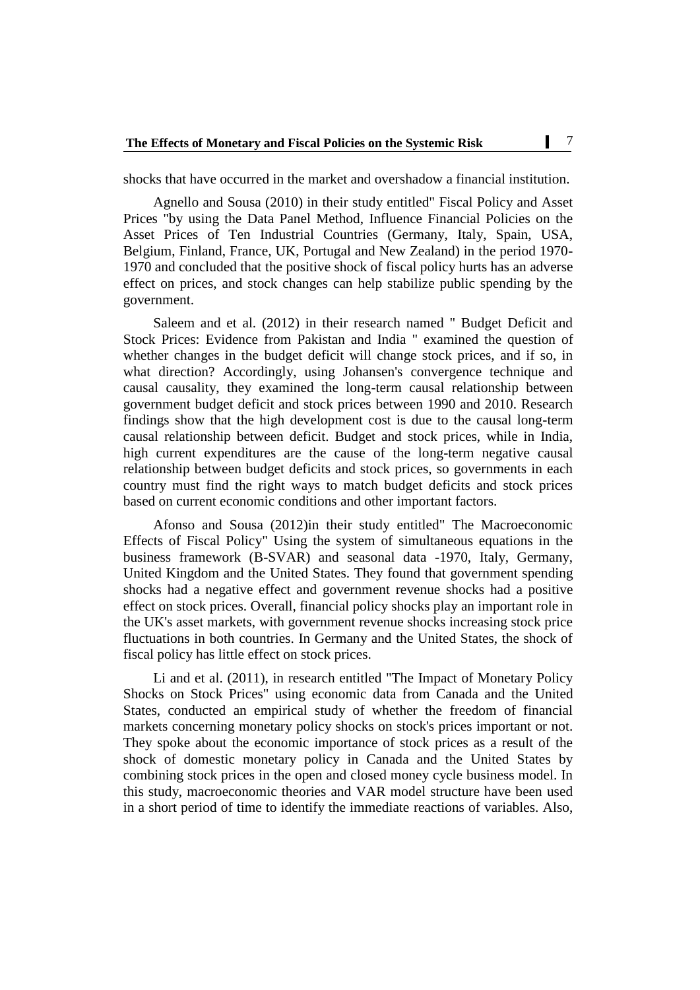shocks that have occurred in the market and overshadow a financial institution.

Agnello and Sousa (2010) in their study entitled" Fiscal Policy and Asset Prices "by using the Data Panel Method, Influence Financial Policies on the Asset Prices of Ten Industrial Countries (Germany, Italy, Spain, USA, Belgium, Finland, France, UK, Portugal and New Zealand) in the period 1970- 1970 and concluded that the positive shock of fiscal policy hurts has an adverse effect on prices, and stock changes can help stabilize public spending by the government.

Saleem and et al. (2012) in their research named " Budget Deficit and Stock Prices: Evidence from Pakistan and India " examined the question of whether changes in the budget deficit will change stock prices, and if so, in what direction? Accordingly, using Johansen's convergence technique and causal causality, they examined the long-term causal relationship between government budget deficit and stock prices between 1990 and 2010. Research findings show that the high development cost is due to the causal long-term causal relationship between deficit. Budget and stock prices, while in India, high current expenditures are the cause of the long-term negative causal relationship between budget deficits and stock prices, so governments in each country must find the right ways to match budget deficits and stock prices based on current economic conditions and other important factors.

Afonso and Sousa (2012)in their study entitled" The Macroeconomic Effects of Fiscal Policy" Using the system of simultaneous equations in the business framework (B-SVAR) and seasonal data -1970, Italy, Germany, United Kingdom and the United States. They found that government spending shocks had a negative effect and government revenue shocks had a positive effect on stock prices. Overall, financial policy shocks play an important role in the UK's asset markets, with government revenue shocks increasing stock price fluctuations in both countries. In Germany and the United States, the shock of fiscal policy has little effect on stock prices.

Li and et al. (2011), in research entitled "The Impact of Monetary Policy Shocks on Stock Prices" using economic data from Canada and the United States, conducted an empirical study of whether the freedom of financial markets concerning monetary policy shocks on stock's prices important or not. They spoke about the economic importance of stock prices as a result of the shock of domestic monetary policy in Canada and the United States by combining stock prices in the open and closed money cycle business model. In this study, macroeconomic theories and VAR model structure have been used in a short period of time to identify the immediate reactions of variables. Also,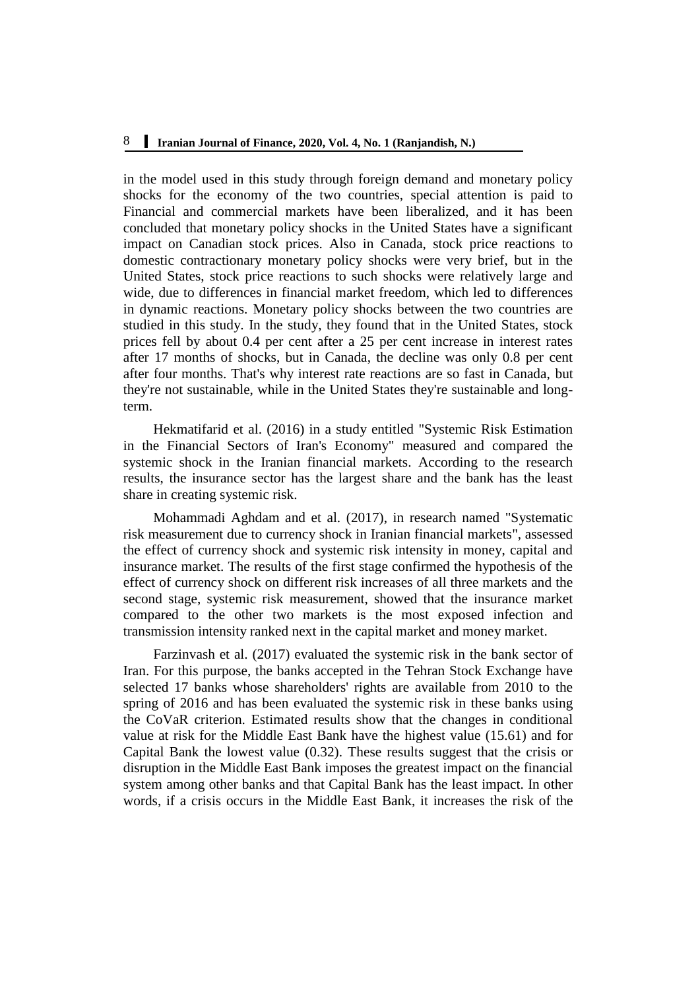in the model used in this study through foreign demand and monetary policy shocks for the economy of the two countries, special attention is paid to Financial and commercial markets have been liberalized, and it has been concluded that monetary policy shocks in the United States have a significant impact on Canadian stock prices. Also in Canada, stock price reactions to domestic contractionary monetary policy shocks were very brief, but in the United States, stock price reactions to such shocks were relatively large and wide, due to differences in financial market freedom, which led to differences in dynamic reactions. Monetary policy shocks between the two countries are studied in this study. In the study, they found that in the United States, stock prices fell by about 0.4 per cent after a 25 per cent increase in interest rates after 17 months of shocks, but in Canada, the decline was only 0.8 per cent after four months. That's why interest rate reactions are so fast in Canada, but they're not sustainable, while in the United States they're sustainable and longterm.

Hekmatifarid et al. (2016) in a study entitled "Systemic Risk Estimation in the Financial Sectors of Iran's Economy" measured and compared the systemic shock in the Iranian financial markets. According to the research results, the insurance sector has the largest share and the bank has the least share in creating systemic risk.

Mohammadi Aghdam and et al. (2017), in research named "Systematic risk measurement due to currency shock in Iranian financial markets", assessed the effect of currency shock and systemic risk intensity in money, capital and insurance market. The results of the first stage confirmed the hypothesis of the effect of currency shock on different risk increases of all three markets and the second stage, systemic risk measurement, showed that the insurance market compared to the other two markets is the most exposed infection and transmission intensity ranked next in the capital market and money market.

Farzinvash et al. (2017) evaluated the systemic risk in the bank sector of Iran. For this purpose, the banks accepted in the Tehran Stock Exchange have selected 17 banks whose shareholders' rights are available from 2010 to the spring of 2016 and has been evaluated the systemic risk in these banks using the CoVaR criterion. Estimated results show that the changes in conditional value at risk for the Middle East Bank have the highest value (15.61) and for Capital Bank the lowest value (0.32). These results suggest that the crisis or disruption in the Middle East Bank imposes the greatest impact on the financial system among other banks and that Capital Bank has the least impact. In other words, if a crisis occurs in the Middle East Bank, it increases the risk of the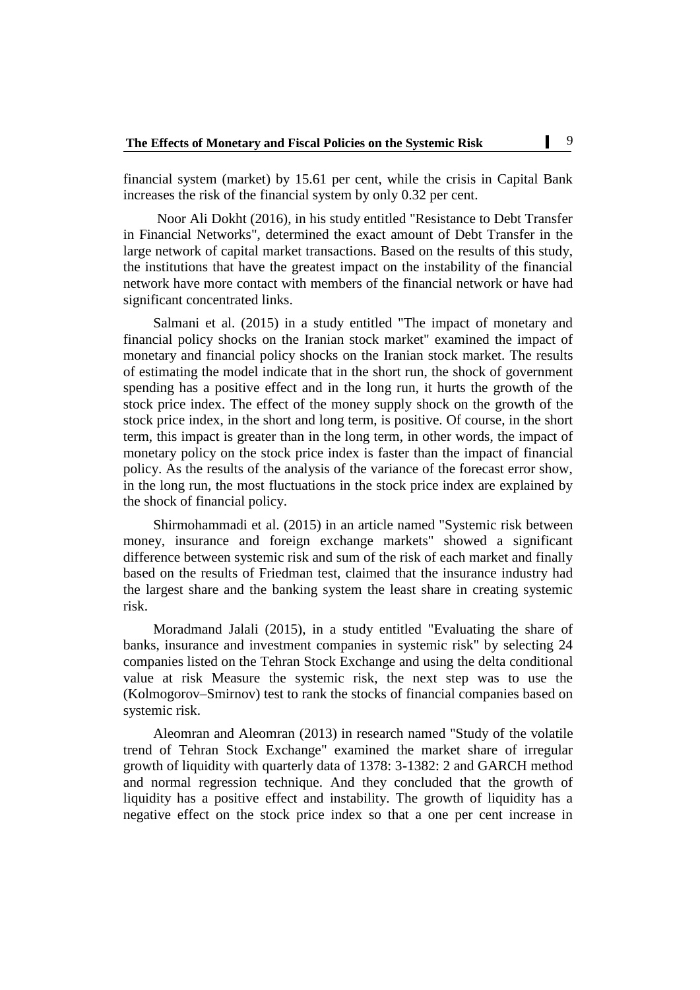financial system (market) by 15.61 per cent, while the crisis in Capital Bank increases the risk of the financial system by only 0.32 per cent.

Noor Ali Dokht (2016), in his study entitled "Resistance to Debt Transfer in Financial Networks", determined the exact amount of Debt Transfer in the large network of capital market transactions. Based on the results of this study, the institutions that have the greatest impact on the instability of the financial network have more contact with members of the financial network or have had significant concentrated links.

Salmani et al. (2015) in a study entitled "The impact of monetary and financial policy shocks on the Iranian stock market" examined the impact of monetary and financial policy shocks on the Iranian stock market. The results of estimating the model indicate that in the short run, the shock of government spending has a positive effect and in the long run, it hurts the growth of the stock price index. The effect of the money supply shock on the growth of the stock price index, in the short and long term, is positive. Of course, in the short term, this impact is greater than in the long term, in other words, the impact of monetary policy on the stock price index is faster than the impact of financial policy. As the results of the analysis of the variance of the forecast error show, in the long run, the most fluctuations in the stock price index are explained by the shock of financial policy.

Shirmohammadi et al. (2015) in an article named "Systemic risk between money, insurance and foreign exchange markets" showed a significant difference between systemic risk and sum of the risk of each market and finally based on the results of Friedman test, claimed that the insurance industry had the largest share and the banking system the least share in creating systemic risk.

Moradmand Jalali (2015), in a study entitled "Evaluating the share of banks, insurance and investment companies in systemic risk" by selecting 24 companies listed on the Tehran Stock Exchange and using the delta conditional value at risk Measure the systemic risk, the next step was to use the (Kolmogorov–Smirnov) test to rank the stocks of financial companies based on systemic risk.

Aleomran and Aleomran (2013) in research named "Study of the volatile trend of Tehran Stock Exchange" examined the market share of irregular growth of liquidity with quarterly data of 1378: 3-1382: 2 and GARCH method and normal regression technique. And they concluded that the growth of liquidity has a positive effect and instability. The growth of liquidity has a negative effect on the stock price index so that a one per cent increase in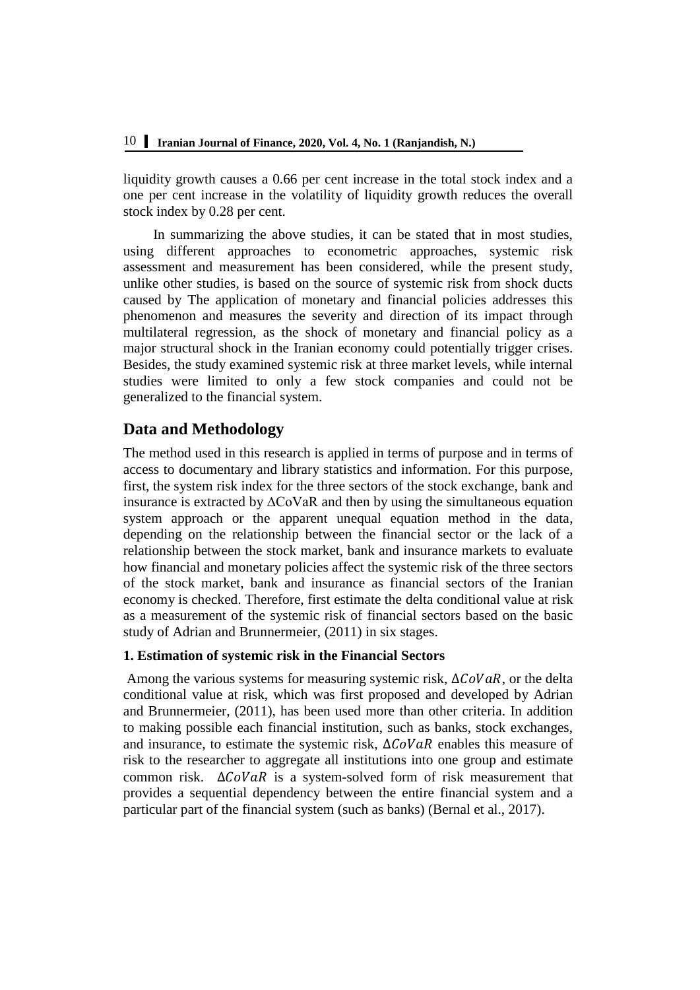liquidity growth causes a 0.66 per cent increase in the total stock index and a one per cent increase in the volatility of liquidity growth reduces the overall stock index by 0.28 per cent.

In summarizing the above studies, it can be stated that in most studies, using different approaches to econometric approaches, systemic risk assessment and measurement has been considered, while the present study, unlike other studies, is based on the source of systemic risk from shock ducts caused by The application of monetary and financial policies addresses this phenomenon and measures the severity and direction of its impact through multilateral regression, as the shock of monetary and financial policy as a major structural shock in the Iranian economy could potentially trigger crises. Besides, the study examined systemic risk at three market levels, while internal studies were limited to only a few stock companies and could not be generalized to the financial system.

# **Data and Methodology**

The method used in this research is applied in terms of purpose and in terms of access to documentary and library statistics and information. For this purpose, first, the system risk index for the three sectors of the stock exchange, bank and insurance is extracted by ∆CoVaR and then by using the simultaneous equation system approach or the apparent unequal equation method in the data, depending on the relationship between the financial sector or the lack of a relationship between the stock market, bank and insurance markets to evaluate how financial and monetary policies affect the systemic risk of the three sectors of the stock market, bank and insurance as financial sectors of the Iranian economy is checked. Therefore, first estimate the delta conditional value at risk as a measurement of the systemic risk of financial sectors based on the basic study of Adrian and Brunnermeier, (2011) in six stages.

# **1. Estimation of systemic risk in the Financial Sectors**

Among the various systems for measuring systemic risk,  $\Delta COVaR$ , or the delta conditional value at risk, which was first proposed and developed by Adrian and Brunnermeier, (2011), has been used more than other criteria. In addition to making possible each financial institution, such as banks, stock exchanges, and insurance, to estimate the systemic risk,  $\Delta COVaR$  enables this measure of risk to the researcher to aggregate all institutions into one group and estimate common risk.  $\Delta CoVaR$  is a system-solved form of risk measurement that provides a sequential dependency between the entire financial system and a particular part of the financial system (such as banks) (Bernal et al., 2017).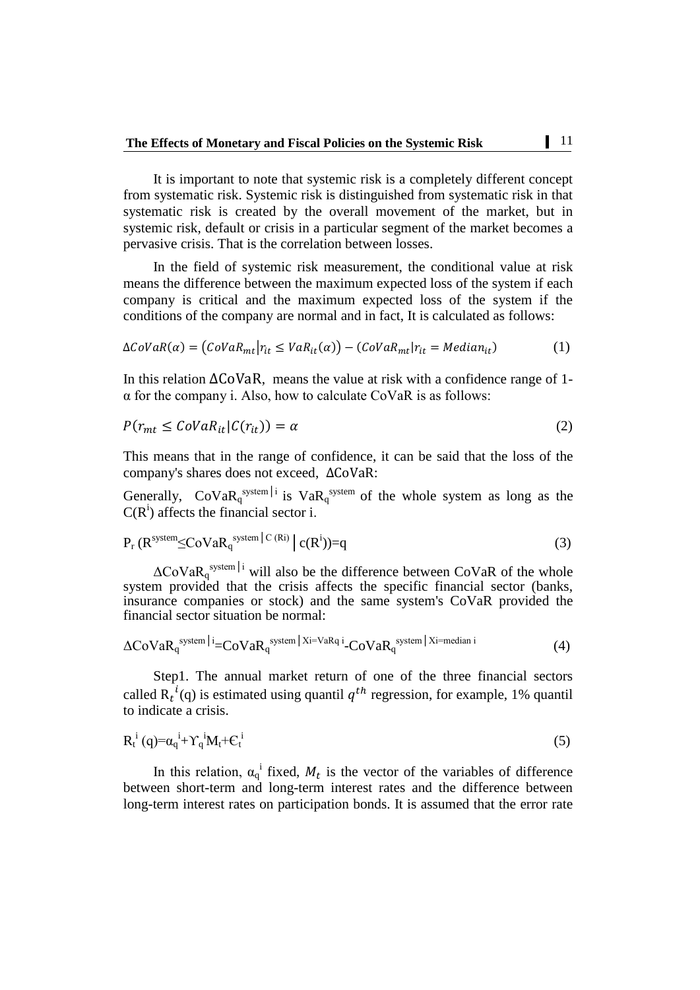It is important to note that systemic risk is a completely different concept from systematic risk. Systemic risk is distinguished from systematic risk in that systematic risk is created by the overall movement of the market, but in systemic risk, default or crisis in a particular segment of the market becomes a pervasive crisis. That is the correlation between losses.

In the field of systemic risk measurement, the conditional value at risk means the difference between the maximum expected loss of the system if each company is critical and the maximum expected loss of the system if the conditions of the company are normal and in fact, It is calculated as follows:

$$
\Delta CoVaR(\alpha) = (CoVaR_{mt}|r_{it} \le VaR_{it}(\alpha)) - (CoVaR_{mt}|r_{it} = Median_{it})
$$
 (1)

In this relation  $\Delta \text{COVaR}$ , means the value at risk with a confidence range of 1α for the company i. Also, how to calculate CoVaR is as follows:

$$
P(r_{mt} \leq \text{Cov} a R_{it} | C(r_{it})) = \alpha \tag{2}
$$

This means that in the range of confidence, it can be said that the loss of the company's shares does not exceed,  $\triangle$ CoVaR:

Generally,  $\text{CoVaR}_{q}^{\text{system}|i}$  is  $\text{VaR}_{q}^{\text{system}}$  of the whole system as long as the  $C(R<sup>i</sup>)$  affects the financial sector i.

$$
P_r (R^{\text{system}} \leq \text{CoVaR}_q^{\text{system}} |C^{(Ri)}| c(R^i) = q
$$
\n(3)

 $\Delta$ CoVa $R_q^{\text{system}|i}$  will also be the difference between CoVaR of the whole system provided that the crisis affects the specific financial sector (banks, insurance companies or stock) and the same system's CoVaR provided the financial sector situation be normal:

$$
\Delta \text{CoVaR}_{q}^{\text{ system}|i} = \text{CoVaR}_{q}^{\text{system}|Xi} = \text{VaR}_{q}^{\text{i}} - \text{CoVaR}_{q}^{\text{system}|Xi} \tag{4}
$$

Step1. The annual market return of one of the three financial sectors called  $R_t^i(q)$  is estimated using quantil  $q^{th}$  regression, for example, 1% quantil to indicate a crisis.

$$
R_t^i(q) = \alpha_q^i + \Upsilon_q^i M_t + C_t^i \tag{5}
$$

i

In this relation,  $\alpha_q^i$  fixed,  $M_t$  is the vector of the variables of difference between short-term and long-term interest rates and the difference between long-term interest rates on participation bonds. It is assumed that the error rate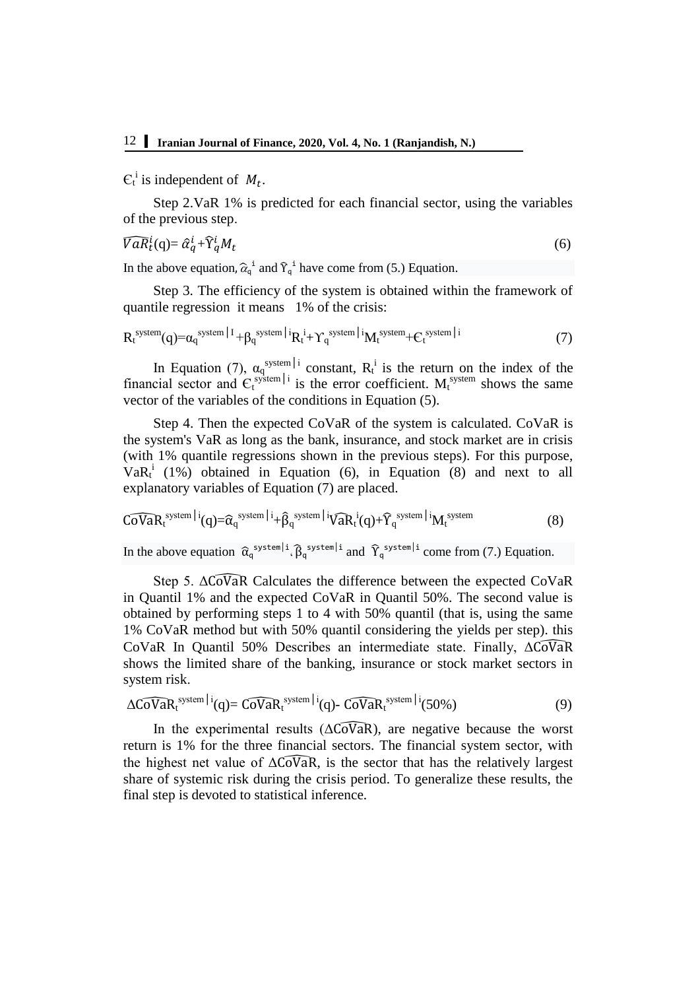$C_t^i$  is independent of  $M_t$ .

Step 2.VaR 1% is predicted for each financial sector, using the variables of the previous step.

$$
\widehat{VaR}_t^i(q) = \widehat{\alpha}_q^i + \widehat{Y}_q^i M_t \tag{6}
$$

In the above equation,  $\hat{\alpha}_q^i$  and  $\hat{\gamma}_q^i$  have come from (5.) Equation.

Step 3. The efficiency of the system is obtained within the framework of quantile regression it means 1% of the crisis:

$$
R_t^{\text{system}}(q) = \alpha_q^{\text{system}|I} + \beta_q^{\text{system}|i} R_t^i + \Upsilon_q^{\text{system}|i} M_t^{\text{system}} + C_t^{\text{system}|i} \tag{7}
$$

In Equation (7),  $\alpha_q^{\text{system}}|_1$  constant,  $R_t^i$  is the return on the index of the financial sector and  $C_t^{\text{system}|i}$  is the error coefficient.  $M_t^{\text{system}}$  shows the same vector of the variables of the conditions in Equation (5).

Step 4. Then the expected CoVaR of the system is calculated. CoVaR is the system's VaR as long as the bank, insurance, and stock market are in crisis (with 1% quantile regressions shown in the previous steps). For this purpose,  $VaR_t^i$  (1%) obtained in Equation (6), in Equation (8) and next to all explanatory variables of Equation (7) are placed.

$$
\widehat{\text{CoVaR}}_t^{\text{system} \, | \, i}(q) = \widehat{\alpha}_q^{\text{ system} \, | \, i} + \widehat{\beta}_q^{\text{ system} \, | \, i} \widehat{\text{VaR}}_t^{\, i}(q) + \widehat{\Upsilon}_q^{\text{ system} \, | \, i} M_t^{\text{system}} \tag{8}
$$

In the above equation  $\hat{\alpha}_q^{\text{system}|i} \cdot \hat{\beta}_q^{\text{system}|i}$  and  $\hat{\gamma}_q^{\text{system}|i}$  come from (7.) Equation.

Step 5.  $\triangle$ CoVaR Calculates the difference between the expected CoVaR in Quantil 1% and the expected CoVaR in Quantil 50%. The second value is obtained by performing steps 1 to 4 with 50% quantil (that is, using the same 1% CoVaR method but with 50% quantil considering the yields per step). this CoVaR In Quantil 50% Describes an intermediate state. Finally, ΔCoVaR shows the limited share of the banking, insurance or stock market sectors in system risk.

$$
\Delta \widehat{\text{CoVaR}}_t^{\text{system}|i}(q) = \widehat{\text{CoVaR}}_t^{\text{system}|i}(q) - \widehat{\text{CoVaR}}_t^{\text{system}|i}(50\%) \tag{9}
$$

In the experimental results ( $\Delta \widehat{\text{Cov}}$ aR), are negative because the worst return is 1% for the three financial sectors. The financial system sector, with the highest net value of  $\Delta \text{CoVaR}$ , is the sector that has the relatively largest share of systemic risk during the crisis period. To generalize these results, the final step is devoted to statistical inference.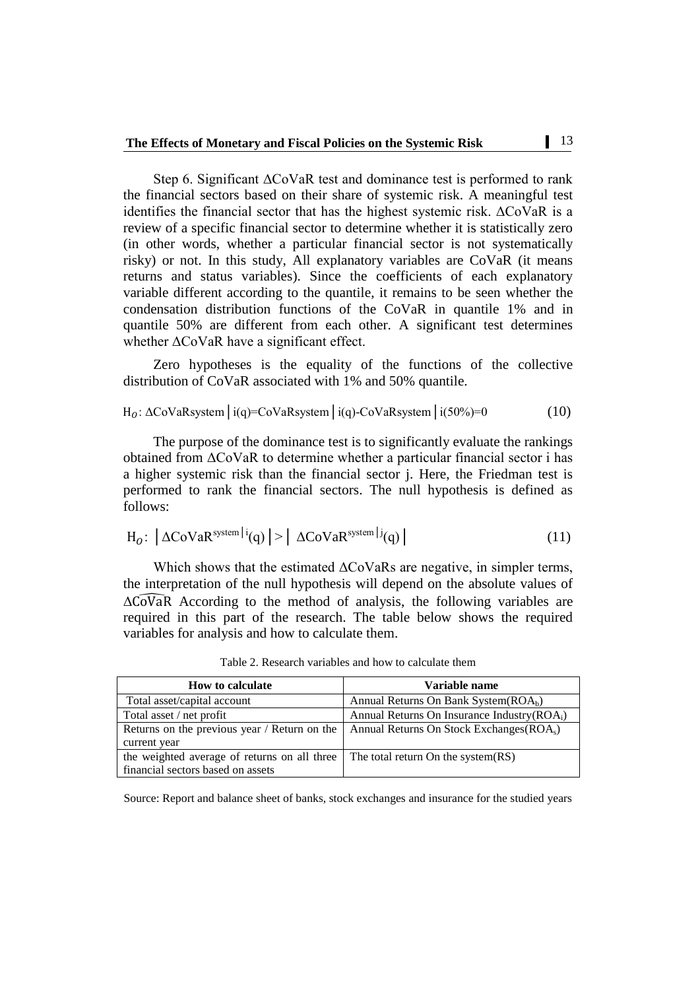Step 6. Significant ΔCoVaR test and dominance test is performed to rank the financial sectors based on their share of systemic risk. A meaningful test identifies the financial sector that has the highest systemic risk. ΔCoVaR is a review of a specific financial sector to determine whether it is statistically zero (in other words, whether a particular financial sector is not systematically risky) or not. In this study, All explanatory variables are CoVaR (it means returns and status variables). Since the coefficients of each explanatory variable different according to the quantile, it remains to be seen whether the condensation distribution functions of the CoVaR in quantile 1% and in quantile 50% are different from each other. A significant test determines whether  $ΔCoVaR$  have a significant effect.

Zero hypotheses is the equality of the functions of the collective distribution of CoVaR associated with 1% and 50% quantile.

$$
H_0: \Delta \text{CoVaR system} \mid i(q) = \text{CoVaR system} \mid i(q) - \text{CoVaR system} \mid i(50\%) = 0 \tag{10}
$$

The purpose of the dominance test is to significantly evaluate the rankings obtained from ΔCoVaR to determine whether a particular financial sector i has a higher systemic risk than the financial sector j. Here, the Friedman test is performed to rank the financial sectors. The null hypothesis is defined as follows:

$$
H_0: |\Delta \text{CoVaR}^{\text{system}|i}(q)| > |\Delta \text{CoVaR}^{\text{system}|j}(q)| \tag{11}
$$

Which shows that the estimated ΔCoVaRs are negative, in simpler terms, the interpretation of the null hypothesis will depend on the absolute values of  $\Delta\widehat{\text{CoVaR}}$  According to the method of analysis, the following variables are required in this part of the research. The table below shows the required variables for analysis and how to calculate them.

| <b>How to calculate</b>                      | Variable name                                         |
|----------------------------------------------|-------------------------------------------------------|
| Total asset/capital account                  | Annual Returns On Bank System $(ROAb)$                |
| Total asset / net profit                     | Annual Returns On Insurance Industry (ROA;)           |
| Returns on the previous year / Return on the | Annual Returns On Stock Exchanges (ROA <sub>s</sub> ) |
| current year                                 |                                                       |
| the weighted average of returns on all three | The total return On the system(RS)                    |
| financial sectors based on assets            |                                                       |

Table 2. Research variables and how to calculate them

Source: Report and balance sheet of banks, stock exchanges and insurance for the studied years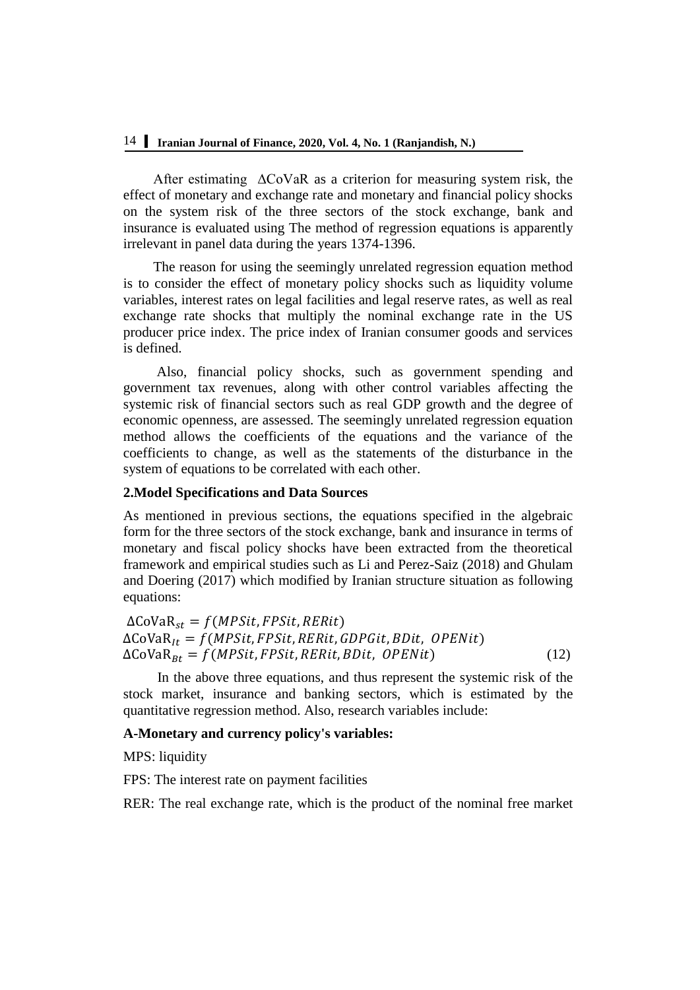After estimating ΔCoVaR as a criterion for measuring system risk, the effect of monetary and exchange rate and monetary and financial policy shocks on the system risk of the three sectors of the stock exchange, bank and insurance is evaluated using The method of regression equations is apparently irrelevant in panel data during the years 1374-1396.

The reason for using the seemingly unrelated regression equation method is to consider the effect of monetary policy shocks such as liquidity volume variables, interest rates on legal facilities and legal reserve rates, as well as real exchange rate shocks that multiply the nominal exchange rate in the US producer price index. The price index of Iranian consumer goods and services is defined.

Also, financial policy shocks, such as government spending and government tax revenues, along with other control variables affecting the systemic risk of financial sectors such as real GDP growth and the degree of economic openness, are assessed. The seemingly unrelated regression equation method allows the coefficients of the equations and the variance of the coefficients to change, as well as the statements of the disturbance in the system of equations to be correlated with each other.

### **2.Model Specifications and Data Sources**

As mentioned in previous sections, the equations specified in the algebraic form for the three sectors of the stock exchange, bank and insurance in terms of monetary and fiscal policy shocks have been extracted from the theoretical framework and empirical studies such as Li and Perez-Saiz (2018) and Ghulam and Doering (2017) which modified by Iranian structure situation as following equations:

```
\DeltaCoVaR<sub>st</sub> = f(MPSit, FPSit, RERit)\DeltaCoVaR<sub>It</sub> = f(MPSit, FPSit, RERit, GDPGit, BDit, OPENit)\Delta \text{CoVaR}_{Bt} = f(MPSit, FPSit, RERit, BDit, OPENit) (12)
```
In the above three equations, and thus represent the systemic risk of the stock market, insurance and banking sectors, which is estimated by the quantitative regression method. Also, research variables include:

## **A-Monetary and currency policy's variables:**

MPS: liquidity

FPS: The interest rate on payment facilities

RER: The real exchange rate, which is the product of the nominal free market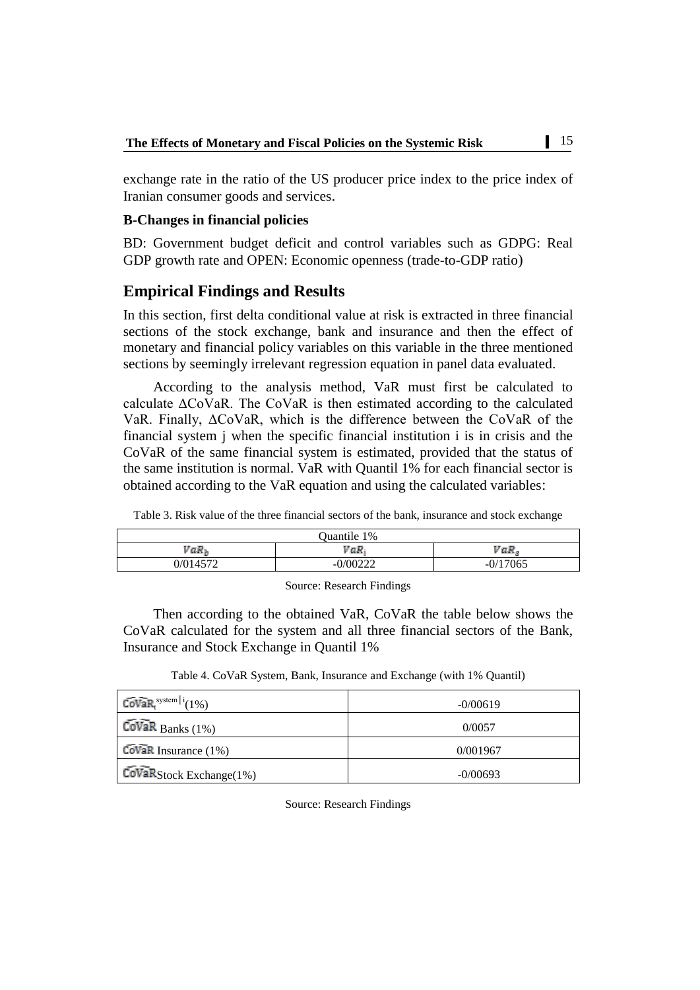exchange rate in the ratio of the US producer price index to the price index of Iranian consumer goods and services.

### **B-Changes in financial policies**

BD: Government budget deficit and control variables such as GDPG: Real GDP growth rate and OPEN: Economic openness (trade-to-GDP ratio)

# **Empirical Findings and Results**

In this section, first delta conditional value at risk is extracted in three financial sections of the stock exchange, bank and insurance and then the effect of monetary and financial policy variables on this variable in the three mentioned sections by seemingly irrelevant regression equation in panel data evaluated.

According to the analysis method, VaR must first be calculated to calculate ΔCoVaR. The CoVaR is then estimated according to the calculated VaR. Finally, ΔCoVaR, which is the difference between the CoVaR of the financial system j when the specific financial institution i is in crisis and the CoVaR of the same financial system is estimated, provided that the status of the same institution is normal. VaR with Quantil 1% for each financial sector is obtained according to the VaR equation and using the calculated variables:

|  |  |  |  |  |  |  |  |  | Table 3. Risk value of the three financial sectors of the bank, insurance and stock exchange |  |  |
|--|--|--|--|--|--|--|--|--|----------------------------------------------------------------------------------------------|--|--|
|--|--|--|--|--|--|--|--|--|----------------------------------------------------------------------------------------------|--|--|

|                  | Quantile 1%                    |            |
|------------------|--------------------------------|------------|
| VaR <sub>k</sub> | VaR,                           | VaR        |
| 0/014572         | 0/00222<br>--<br>-- <i>---</i> | $-0/17065$ |

Source: Research Findings

Then according to the obtained VaR, CoVaR the table below shows the CoVaR calculated for the system and all three financial sectors of the Bank, Insurance and Stock Exchange in Quantil 1%

Table 4. CoVaR System, Bank, Insurance and Exchange (with 1% Quantil)

| $Covar$ <sub>system</sub> $ i(1\%)$              | $-0/00619$ |
|--------------------------------------------------|------------|
| $\widetilde{\mathrm{CoVaR}}$ Banks (1%)          | 0/0057     |
| $\widehat{\text{CoVaR}}$ Insurance (1%)          | 0/001967   |
| $\overline{\text{CovaR}}$ Stock Exchange $(1\%)$ | $-0/00693$ |

Source: Research Findings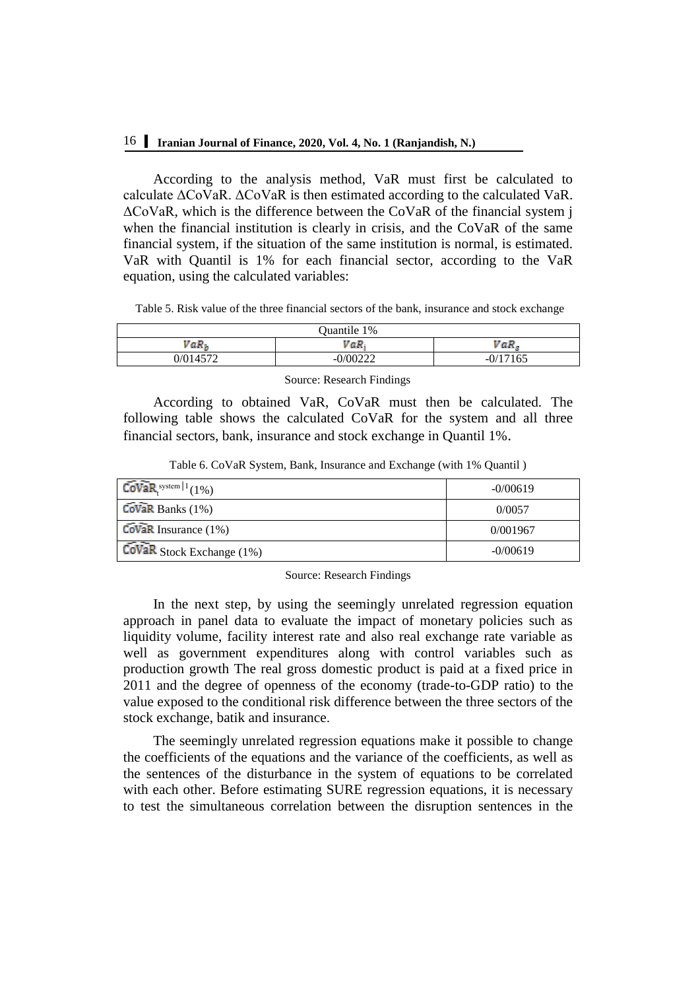# 16 **Iranian Journal of Finance, 2020, Vol. 4, No. 1 (Ranjandish, N.)**

According to the analysis method, VaR must first be calculated to calculate ΔCoVaR. ΔCoVaR is then estimated according to the calculated VaR. ΔCoVaR, which is the difference between the CoVaR of the financial system j when the financial institution is clearly in crisis, and the CoVaR of the same financial system, if the situation of the same institution is normal, is estimated. VaR with Quantil is 1% for each financial sector, according to the VaR equation, using the calculated variables:

Table 5. Risk value of the three financial sectors of the bank, insurance and stock exchange

| Quantile 1%      |               |                |  |  |
|------------------|---------------|----------------|--|--|
| VaR <sub>k</sub> | $vaR_i$       | VaR            |  |  |
| 0/014572         | 0/00222<br>-- | -0/17165<br>-- |  |  |

Source: Research Findings

According to obtained VaR, CoVaR must then be calculated. The following table shows the calculated CoVaR for the system and all three financial sectors, bank, insurance and stock exchange in Quantil 1%.

| $CovaR$ system   $1(1%)$                | $-0/00619$ |
|-----------------------------------------|------------|
| $\widetilde{\mathrm{Covak}}$ Banks (1%) | 0/0057     |
| $\widehat{\text{Covan}}$ Insurance (1%) | 0/001967   |
| CoVaR Stock Exchange (1%)               | $-0/00619$ |

#### Source: Research Findings

In the next step, by using the seemingly unrelated regression equation approach in panel data to evaluate the impact of monetary policies such as liquidity volume, facility interest rate and also real exchange rate variable as well as government expenditures along with control variables such as production growth The real gross domestic product is paid at a fixed price in 2011 and the degree of openness of the economy (trade-to-GDP ratio) to the value exposed to the conditional risk difference between the three sectors of the stock exchange, batik and insurance.

The seemingly unrelated regression equations make it possible to change the coefficients of the equations and the variance of the coefficients, as well as the sentences of the disturbance in the system of equations to be correlated with each other. Before estimating SURE regression equations, it is necessary to test the simultaneous correlation between the disruption sentences in the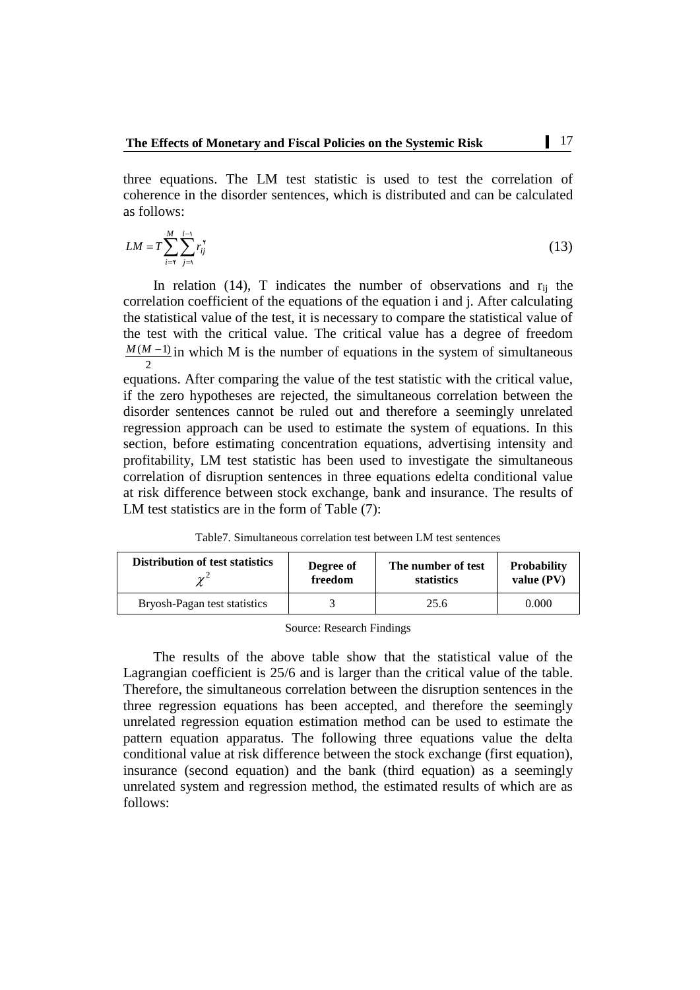three equations. The LM test statistic is used to test the correlation of coherence in the disorder sentences, which is distributed and can be calculated as follows:

$$
LM = T \sum_{i=\tau}^{M} \sum_{j=1}^{i-\tau} r_{ij}^{\tau}
$$
\n(13)

In relation (14), T indicates the number of observations and  $r_{ij}$  the correlation coefficient of the equations of the equation i and j. After calculating the statistical value of the test, it is necessary to compare the statistical value of the test with the critical value. The critical value has a degree of freedom 2  $M(M-1)$  in which M is the number of equations in the system of simultaneous

equations. After comparing the value of the test statistic with the critical value, if the zero hypotheses are rejected, the simultaneous correlation between the disorder sentences cannot be ruled out and therefore a seemingly unrelated regression approach can be used to estimate the system of equations. In this section, before estimating concentration equations, advertising intensity and profitability, LM test statistic has been used to investigate the simultaneous correlation of disruption sentences in three equations edelta conditional value at risk difference between stock exchange, bank and insurance. The results of LM test statistics are in the form of Table  $(7)$ :

Table7. Simultaneous correlation test between LM test sentences

| <b>Distribution of test statistics</b> | Degree of | The number of test | <b>Probability</b> |
|----------------------------------------|-----------|--------------------|--------------------|
|                                        | freedom   | statistics         | value $(PV)$       |
| Bryosh-Pagan test statistics           |           | 25.6               | 0.000              |

Source: Research Findings

The results of the above table show that the statistical value of the Lagrangian coefficient is 25/6 and is larger than the critical value of the table. Therefore, the simultaneous correlation between the disruption sentences in the three regression equations has been accepted, and therefore the seemingly unrelated regression equation estimation method can be used to estimate the pattern equation apparatus. The following three equations value the delta conditional value at risk difference between the stock exchange (first equation), insurance (second equation) and the bank (third equation) as a seemingly unrelated system and regression method, the estimated results of which are as follows: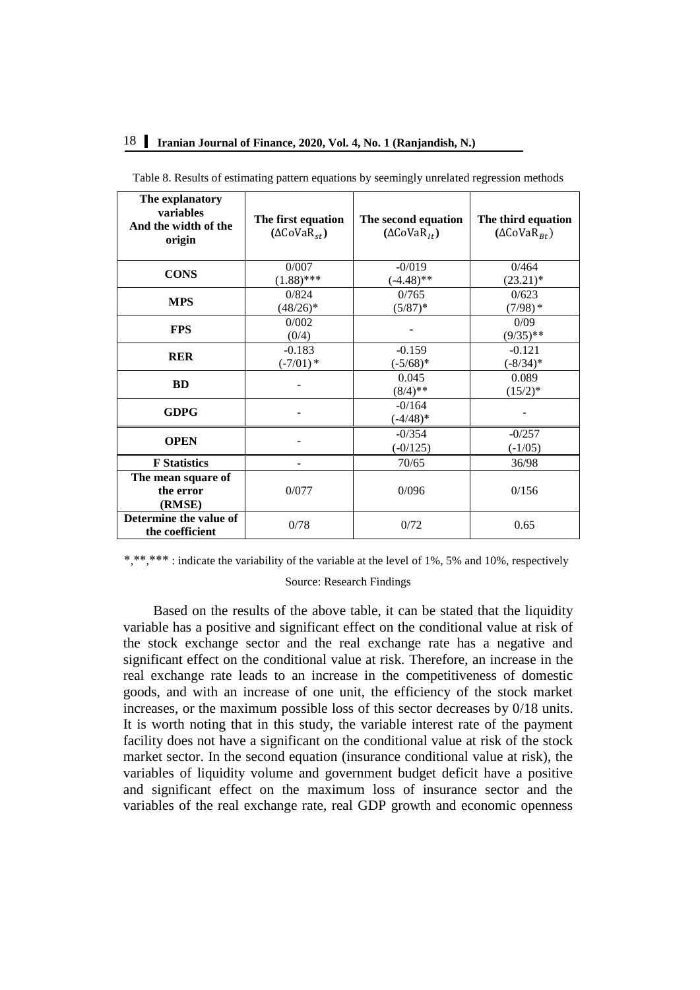# 18 **Iranian Journal of Finance, 2020, Vol. 4, No. 1 (Ranjandish, N.)**

| The explanatory<br>variables<br>And the width of the<br>origin | The first equation<br>$(\Delta \text{CoVaR}_{st})$ | The second equation<br>$(\Delta \text{CoVaR}_{1t})$ | The third equation<br>$(\Delta \text{CoVaR}_{Rt})$ |
|----------------------------------------------------------------|----------------------------------------------------|-----------------------------------------------------|----------------------------------------------------|
| <b>CONS</b>                                                    | 0/007<br>$(1.88)$ ***                              | $-0/019$<br>$(-4.48)$ **                            | 0/464<br>$(23.21)^*$                               |
| <b>MPS</b>                                                     | 0/824<br>$(48/26)^*$                               | 0/765<br>$(5/87)^*$                                 | 0/623<br>$(7/98)*$                                 |
| <b>FPS</b>                                                     | 0/002<br>(0/4)                                     |                                                     | 0/09<br>$(9/35)$ **                                |
| <b>RER</b>                                                     | $-0.183$<br>$(-7/01)$ *                            | $-0.159$<br>$(-5/68)*$                              | $-0.121$<br>$(-8/34)*$                             |
| <b>BD</b>                                                      |                                                    | 0.045<br>$(8/4)$ **                                 | 0.089<br>$(15/2)^*$                                |
| <b>GDPG</b>                                                    |                                                    | $-0/164$<br>$(-4/48)*$                              |                                                    |
| <b>OPEN</b>                                                    |                                                    | $-0/354$<br>$(-0/125)$                              | $-0/257$<br>$(-1/05)$                              |
| <b>F</b> Statistics                                            |                                                    | 70/65                                               | 36/98                                              |
| The mean square of<br>the error<br>(RMSE)                      | 0/077                                              | 0/096                                               | 0/156                                              |
| Determine the value of<br>the coefficient                      | 0/78                                               | 0/72                                                | 0.65                                               |

Table 8. Results of estimating pattern equations by seemingly unrelated regression methods

\*,\*\*,\*\*\* : indicate the variability of the variable at the level of 1%, 5% and 10%, respectively

#### Source: Research Findings

Based on the results of the above table, it can be stated that the liquidity variable has a positive and significant effect on the conditional value at risk of the stock exchange sector and the real exchange rate has a negative and significant effect on the conditional value at risk. Therefore, an increase in the real exchange rate leads to an increase in the competitiveness of domestic goods, and with an increase of one unit, the efficiency of the stock market increases, or the maximum possible loss of this sector decreases by 0/18 units. It is worth noting that in this study, the variable interest rate of the payment facility does not have a significant on the conditional value at risk of the stock market sector. In the second equation (insurance conditional value at risk), the variables of liquidity volume and government budget deficit have a positive and significant effect on the maximum loss of insurance sector and the variables of the real exchange rate, real GDP growth and economic openness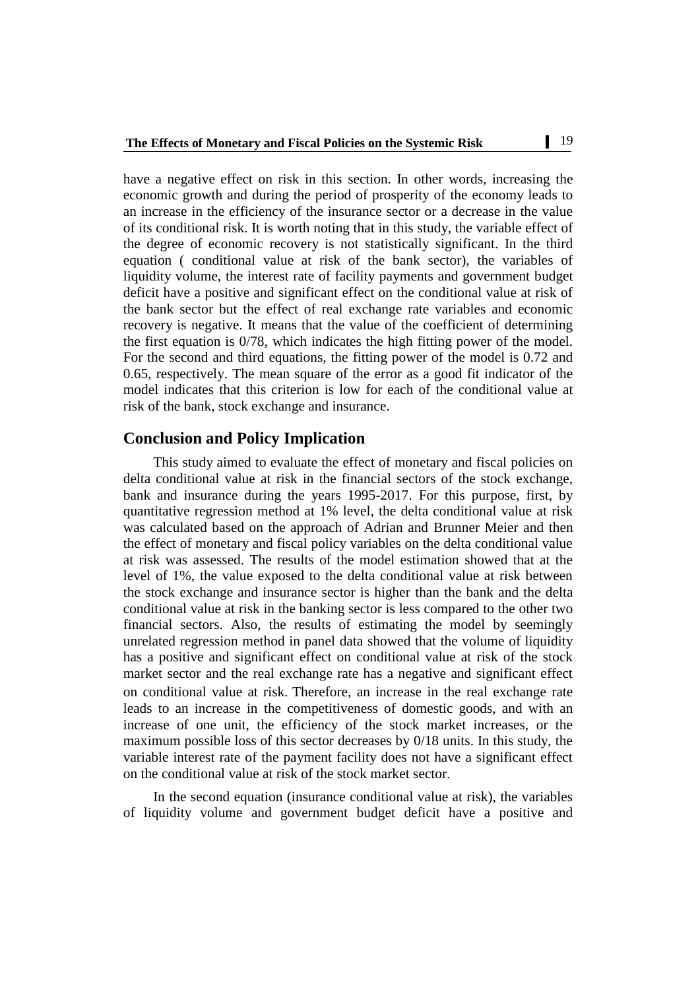have a negative effect on risk in this section. In other words, increasing the economic growth and during the period of prosperity of the economy leads to an increase in the efficiency of the insurance sector or a decrease in the value of its conditional risk. It is worth noting that in this study, the variable effect of the degree of economic recovery is not statistically significant. In the third equation ( conditional value at risk of the bank sector), the variables of liquidity volume, the interest rate of facility payments and government budget deficit have a positive and significant effect on the conditional value at risk of the bank sector but the effect of real exchange rate variables and economic recovery is negative. It means that the value of the coefficient of determining the first equation is 0/78, which indicates the high fitting power of the model. For the second and third equations, the fitting power of the model is 0.72 and 0.65, respectively. The mean square of the error as a good fit indicator of the model indicates that this criterion is low for each of the conditional value at risk of the bank, stock exchange and insurance.

# **Conclusion and Policy Implication**

This study aimed to evaluate the effect of monetary and fiscal policies on delta conditional value at risk in the financial sectors of the stock exchange, bank and insurance during the years 1995-2017. For this purpose, first, by quantitative regression method at 1% level, the delta conditional value at risk was calculated based on the approach of Adrian and Brunner Meier and then the effect of monetary and fiscal policy variables on the delta conditional value at risk was assessed. The results of the model estimation showed that at the level of 1%, the value exposed to the delta conditional value at risk between the stock exchange and insurance sector is higher than the bank and the delta conditional value at risk in the banking sector is less compared to the other two financial sectors. Also, the results of estimating the model by seemingly unrelated regression method in panel data showed that the volume of liquidity has a positive and significant effect on conditional value at risk of the stock market sector and the real exchange rate has a negative and significant effect on conditional value at risk. Therefore, an increase in the real exchange rate leads to an increase in the competitiveness of domestic goods, and with an increase of one unit, the efficiency of the stock market increases, or the maximum possible loss of this sector decreases by 0/18 units. In this study, the variable interest rate of the payment facility does not have a significant effect on the conditional value at risk of the stock market sector.

In the second equation (insurance conditional value at risk), the variables of liquidity volume and government budget deficit have a positive and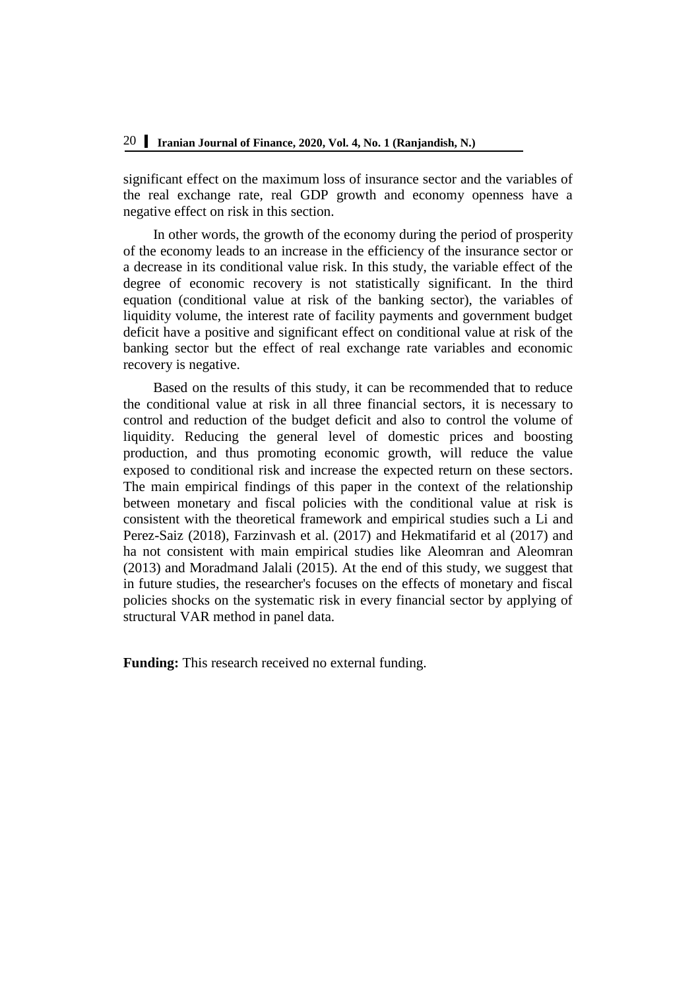significant effect on the maximum loss of insurance sector and the variables of the real exchange rate, real GDP growth and economy openness have a negative effect on risk in this section.

In other words, the growth of the economy during the period of prosperity of the economy leads to an increase in the efficiency of the insurance sector or a decrease in its conditional value risk. In this study, the variable effect of the degree of economic recovery is not statistically significant. In the third equation (conditional value at risk of the banking sector), the variables of liquidity volume, the interest rate of facility payments and government budget deficit have a positive and significant effect on conditional value at risk of the banking sector but the effect of real exchange rate variables and economic recovery is negative.

Based on the results of this study, it can be recommended that to reduce the conditional value at risk in all three financial sectors, it is necessary to control and reduction of the budget deficit and also to control the volume of liquidity. Reducing the general level of domestic prices and boosting production, and thus promoting economic growth, will reduce the value exposed to conditional risk and increase the expected return on these sectors. The main empirical findings of this paper in the context of the relationship between monetary and fiscal policies with the conditional value at risk is consistent with the theoretical framework and empirical studies such a Li and Perez-Saiz (2018), Farzinvash et al. (2017) and Hekmatifarid et al (2017) and ha not consistent with main empirical studies like Aleomran and Aleomran (2013) and Moradmand Jalali (2015). At the end of this study, we suggest that in future studies, the researcher's focuses on the effects of monetary and fiscal policies shocks on the systematic risk in every financial sector by applying of structural VAR method in panel data.

**Funding:** This research received no external funding.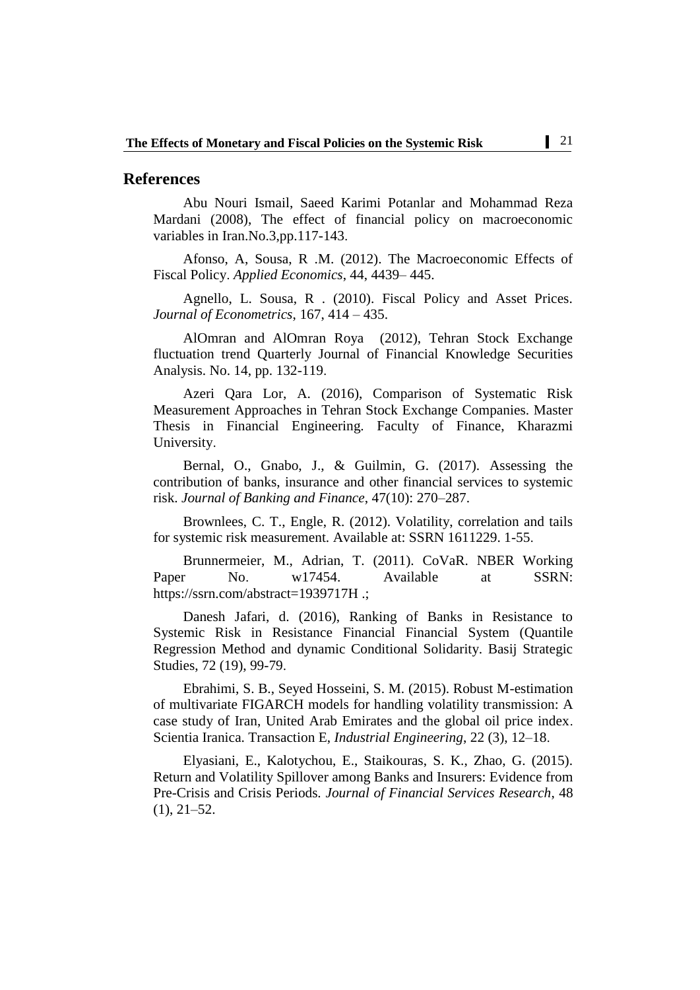## **References**

Abu Nouri Ismail, Saeed Karimi Potanlar and Mohammad Reza Mardani (2008), The effect of financial policy on macroeconomic variables in Iran.No.3,pp.117-143.

Afonso, A, Sousa, R .M. (2012). The Macroeconomic Effects of Fiscal Policy. *Applied Economics*, 44, 4439– 445.

Agnello, L. Sousa, R . (2010). Fiscal Policy and Asset Prices. *Journal of Econometrics*, 167, 414 – 435.

AlOmran and AlOmran Roya (2012), Tehran Stock Exchange fluctuation trend Quarterly Journal of Financial Knowledge Securities Analysis. No. 14, pp. 132-119.

Azeri Qara Lor, A. (2016), Comparison of Systematic Risk Measurement Approaches in Tehran Stock Exchange Companies. Master Thesis in Financial Engineering. Faculty of Finance, Kharazmi University.

Bernal, O., Gnabo, J., & Guilmin, G. (2017). Assessing the contribution of banks, insurance and other financial services to systemic risk. *Journal of Banking and Finance*, 47(10): 270–287.

Brownlees, C. T., Engle, R. (2012). Volatility, correlation and tails for systemic risk measurement. Available at: SSRN 1611229. 1-55.

Brunnermeier, M., Adrian, T. (2011). CoVaR. NBER Working Paper No. w17454. Available at SSRN: https://ssrn.com/abstract=1939717H .;

Danesh Jafari, d. (2016), Ranking of Banks in Resistance to Systemic Risk in Resistance Financial Financial System (Quantile Regression Method and dynamic Conditional Solidarity. Basij Strategic Studies, 72 (19), 99-79.

Ebrahimi, S. B., Seyed Hosseini, S. M. (2015). Robust M-estimation of multivariate FIGARCH models for handling volatility transmission: A case study of Iran, United Arab Emirates and the global oil price index. Scientia Iranica. Transaction E, *Industrial Engineering*, 22 (3), 12–18.

Elyasiani, E., Kalotychou, E., Staikouras, S. K., Zhao, G. (2015). Return and Volatility Spillover among Banks and Insurers: Evidence from Pre-Crisis and Crisis Periods*. Journal of Financial Services Research*, 48 (1), 21–52.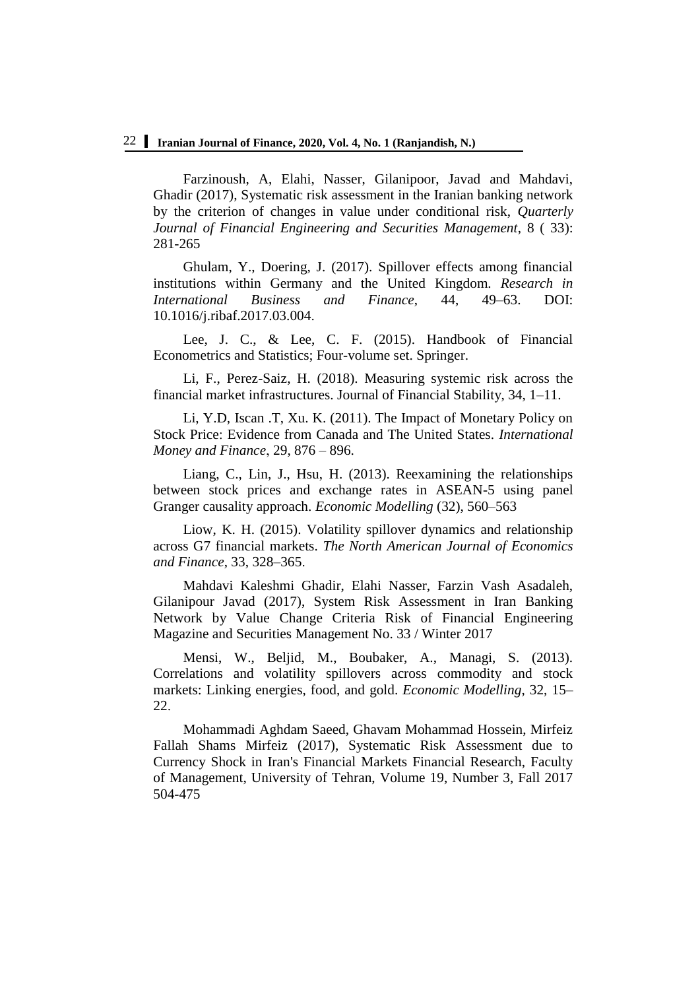## 22 **Iranian Journal of Finance, 2020, Vol. 4, No. 1 (Ranjandish, N.)**

Farzinoush, A, Elahi, Nasser, Gilanipoor, Javad and Mahdavi, Ghadir (2017), Systematic risk assessment in the Iranian banking network by the criterion of changes in value under conditional risk, *Quarterly Journal of Financial Engineering and Securities Management*, 8 ( 33): 281-265

Ghulam, Y., Doering, J. (2017). Spillover effects among financial institutions within Germany and the United Kingdom*. Research in International Business and Finance*, 44, 49–63. DOI: 10.1016/j.ribaf.2017.03.004.

Lee, J. C., & Lee, C. F. (2015). Handbook of Financial Econometrics and Statistics; Four-volume set. Springer.

Li, F., Perez-Saiz, H. (2018). Measuring systemic risk across the financial market infrastructures. Journal of Financial Stability, 34, 1–11.

Li, Y.D, Iscan .T, Xu. K. (2011). The Impact of Monetary Policy on Stock Price: Evidence from Canada and The United States. *International Money and Finance*, 29, 876 – 896.

Liang, C., Lin, J., Hsu, H. (2013). Reexamining the relationships between stock prices and exchange rates in ASEAN-5 using panel Granger causality approach. *Economic Modelling* (32), 560–563

Liow, K. H. (2015). Volatility spillover dynamics and relationship across G7 financial markets. *The North American Journal of Economics and Finance*, 33, 328–365.

Mahdavi Kaleshmi Ghadir, Elahi Nasser, Farzin Vash Asadaleh, Gilanipour Javad (2017), System Risk Assessment in Iran Banking Network by Value Change Criteria Risk of Financial Engineering Magazine and Securities Management No. 33 / Winter 2017

Mensi, W., Beljid, M., Boubaker, A., Managi, S. (2013). Correlations and volatility spillovers across commodity and stock markets: Linking energies, food, and gold. *Economic Modelling*, 32, 15– 22.

Mohammadi Aghdam Saeed, Ghavam Mohammad Hossein, Mirfeiz Fallah Shams Mirfeiz (2017), Systematic Risk Assessment due to Currency Shock in Iran's Financial Markets Financial Research, Faculty of Management, University of Tehran, Volume 19, Number 3, Fall 2017 504-475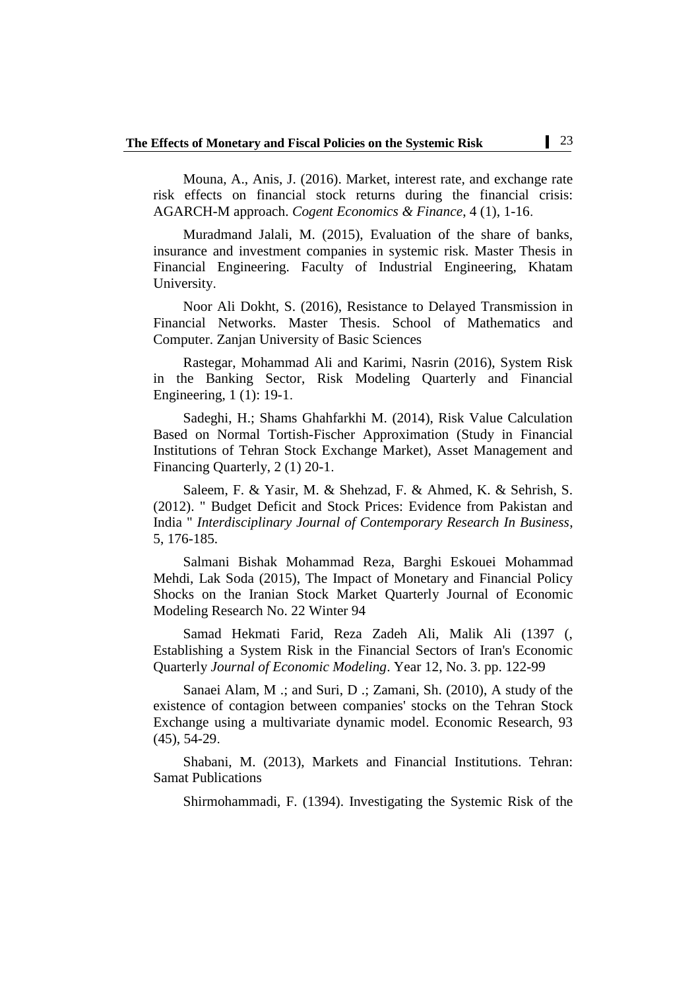Mouna, A., Anis, J. (2016). Market, interest rate, and exchange rate risk effects on financial stock returns during the financial crisis: AGARCH-M approach. *Cogent Economics & Finance*, 4 (1), 1-16.

Muradmand Jalali, M. (2015), Evaluation of the share of banks, insurance and investment companies in systemic risk. Master Thesis in Financial Engineering. Faculty of Industrial Engineering, Khatam University.

Noor Ali Dokht, S. (2016), Resistance to Delayed Transmission in Financial Networks. Master Thesis. School of Mathematics and Computer. Zanjan University of Basic Sciences

Rastegar, Mohammad Ali and Karimi, Nasrin (2016), System Risk in the Banking Sector, Risk Modeling Quarterly and Financial Engineering, 1 (1): 19-1.

Sadeghi, H.; Shams Ghahfarkhi M. (2014), Risk Value Calculation Based on Normal Tortish-Fischer Approximation (Study in Financial Institutions of Tehran Stock Exchange Market), Asset Management and Financing Quarterly, 2 (1) 20-1.

Saleem, F. & Yasir, M. & Shehzad, F. & Ahmed, K. & Sehrish, S. (2012). " Budget Deficit and Stock Prices: Evidence from Pakistan and India " *Interdisciplinary Journal of Contemporary Research In Business*, 5, 176-185.

Salmani Bishak Mohammad Reza, Barghi Eskouei Mohammad Mehdi, Lak Soda (2015), The Impact of Monetary and Financial Policy Shocks on the Iranian Stock Market Quarterly Journal of Economic Modeling Research No. 22 Winter 94

Samad Hekmati Farid, Reza Zadeh Ali, Malik Ali (1397 (, Establishing a System Risk in the Financial Sectors of Iran's Economic Quarterly *Journal of Economic Modeling*. Year 12, No. 3. pp. 122-99

Sanaei Alam, M .; and Suri, D .; Zamani, Sh. (2010), A study of the existence of contagion between companies' stocks on the Tehran Stock Exchange using a multivariate dynamic model. Economic Research, 93 (45), 54-29.

Shabani, M. (2013), Markets and Financial Institutions. Tehran: Samat Publications

Shirmohammadi, F. (1394). Investigating the Systemic Risk of the